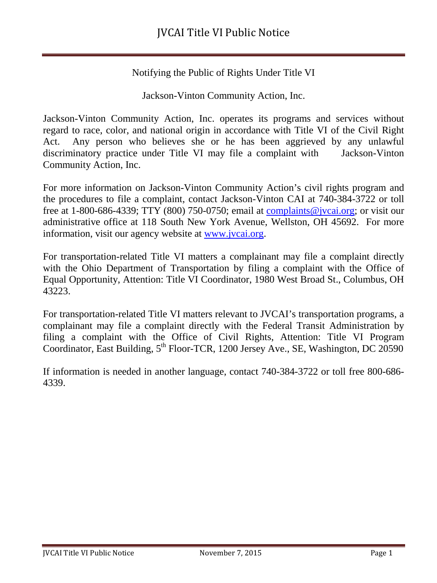Notifying the Public of Rights Under Title VI

Jackson-Vinton Community Action, Inc.

Jackson-Vinton Community Action, Inc. operates its programs and services without regard to race, color, and national origin in accordance with Title VI of the Civil Right Act. Any person who believes she or he has been aggrieved by any unlawful discriminatory practice under Title VI may file a complaint with Jackson-Vinton Community Action, Inc.

For more information on Jackson-Vinton Community Action's civil rights program and the procedures to file a complaint, contact Jackson-Vinton CAI at 740-384-3722 or toll free at 1-800-686-4339; TTY (800) 750-0750; email at [complaints@jvcai.org;](mailto:complaints@jvcai.org) or visit our administrative office at 118 South New York Avenue, Wellston, OH 45692. For more information, visit our agency website at [www.jvcai.org.](http://www.jvcai.org/)

For transportation-related Title VI matters a complainant may file a complaint directly with the Ohio Department of Transportation by filing a complaint with the Office of Equal Opportunity, Attention: Title VI Coordinator, 1980 West Broad St., Columbus, OH 43223.

For transportation-related Title VI matters relevant to JVCAI's transportation programs, a complainant may file a complaint directly with the Federal Transit Administration by filing a complaint with the Office of Civil Rights, Attention: Title VI Program Coordinator, East Building, 5<sup>th</sup> Floor-TCR, 1200 Jersey Ave., SE, Washington, DC 20590

If information is needed in another language, contact 740-384-3722 or toll free 800-686- 4339.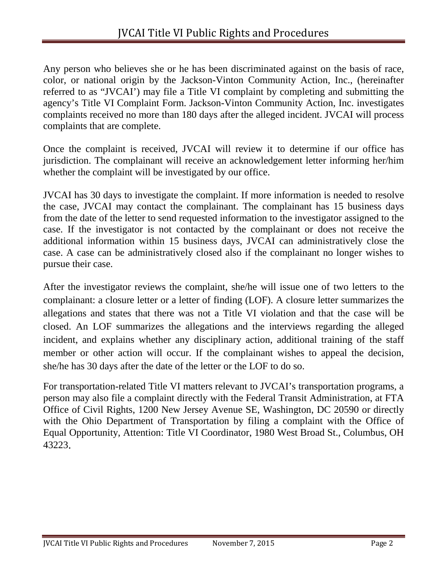Any person who believes she or he has been discriminated against on the basis of race, color, or national origin by the Jackson-Vinton Community Action, Inc., (hereinafter referred to as "JVCAI') may file a Title VI complaint by completing and submitting the agency's Title VI Complaint Form. Jackson-Vinton Community Action, Inc. investigates complaints received no more than 180 days after the alleged incident. JVCAI will process complaints that are complete.

Once the complaint is received, JVCAI will review it to determine if our office has jurisdiction. The complainant will receive an acknowledgement letter informing her/him whether the complaint will be investigated by our office.

JVCAI has 30 days to investigate the complaint. If more information is needed to resolve the case, JVCAI may contact the complainant. The complainant has 15 business days from the date of the letter to send requested information to the investigator assigned to the case. If the investigator is not contacted by the complainant or does not receive the additional information within 15 business days, JVCAI can administratively close the case. A case can be administratively closed also if the complainant no longer wishes to pursue their case.

After the investigator reviews the complaint, she/he will issue one of two letters to the complainant: a closure letter or a letter of finding (LOF). A closure letter summarizes the allegations and states that there was not a Title VI violation and that the case will be closed. An LOF summarizes the allegations and the interviews regarding the alleged incident, and explains whether any disciplinary action, additional training of the staff member or other action will occur. If the complainant wishes to appeal the decision, she/he has 30 days after the date of the letter or the LOF to do so.

For transportation-related Title VI matters relevant to JVCAI's transportation programs, a person may also file a complaint directly with the Federal Transit Administration, at FTA Office of Civil Rights, 1200 New Jersey Avenue SE, Washington, DC 20590 or directly with the Ohio Department of Transportation by filing a complaint with the Office of Equal Opportunity, Attention: Title VI Coordinator, 1980 West Broad St., Columbus, OH 43223.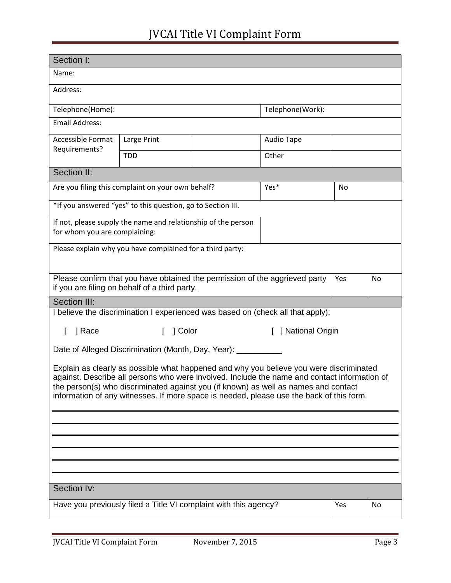## JVCAI Title VI Complaint Form

| Section I:                                                                                                                                                                                                                                                                                                                                                                 |             |  |                     |    |    |  |
|----------------------------------------------------------------------------------------------------------------------------------------------------------------------------------------------------------------------------------------------------------------------------------------------------------------------------------------------------------------------------|-------------|--|---------------------|----|----|--|
| Name:                                                                                                                                                                                                                                                                                                                                                                      |             |  |                     |    |    |  |
| Address:                                                                                                                                                                                                                                                                                                                                                                   |             |  |                     |    |    |  |
| Telephone(Home):                                                                                                                                                                                                                                                                                                                                                           |             |  | Telephone(Work):    |    |    |  |
| <b>Email Address:</b>                                                                                                                                                                                                                                                                                                                                                      |             |  |                     |    |    |  |
| <b>Accessible Format</b><br>Requirements?                                                                                                                                                                                                                                                                                                                                  | Large Print |  | Audio Tape          |    |    |  |
|                                                                                                                                                                                                                                                                                                                                                                            | <b>TDD</b>  |  | Other               |    |    |  |
| Section II:                                                                                                                                                                                                                                                                                                                                                                |             |  |                     |    |    |  |
| Are you filing this complaint on your own behalf?                                                                                                                                                                                                                                                                                                                          |             |  | Yes*                | No |    |  |
| *If you answered "yes" to this question, go to Section III.                                                                                                                                                                                                                                                                                                                |             |  |                     |    |    |  |
| If not, please supply the name and relationship of the person<br>for whom you are complaining:                                                                                                                                                                                                                                                                             |             |  |                     |    |    |  |
| Please explain why you have complained for a third party:                                                                                                                                                                                                                                                                                                                  |             |  |                     |    |    |  |
| Please confirm that you have obtained the permission of the aggrieved party<br>Yes<br>if you are filing on behalf of a third party.                                                                                                                                                                                                                                        |             |  |                     |    | No |  |
| Section III:                                                                                                                                                                                                                                                                                                                                                               |             |  |                     |    |    |  |
| I believe the discrimination I experienced was based on (check all that apply):                                                                                                                                                                                                                                                                                            |             |  |                     |    |    |  |
| ] Race                                                                                                                                                                                                                                                                                                                                                                     | ] Color     |  | [ ] National Origin |    |    |  |
| Date of Alleged Discrimination (Month, Day, Year): ___________                                                                                                                                                                                                                                                                                                             |             |  |                     |    |    |  |
| Explain as clearly as possible what happened and why you believe you were discriminated<br>against. Describe all persons who were involved. Include the name and contact information of<br>the person(s) who discriminated against you (if known) as well as names and contact<br>information of any witnesses. If more space is needed, please use the back of this form. |             |  |                     |    |    |  |
|                                                                                                                                                                                                                                                                                                                                                                            |             |  |                     |    |    |  |
|                                                                                                                                                                                                                                                                                                                                                                            |             |  |                     |    |    |  |
|                                                                                                                                                                                                                                                                                                                                                                            |             |  |                     |    |    |  |
|                                                                                                                                                                                                                                                                                                                                                                            |             |  |                     |    |    |  |
|                                                                                                                                                                                                                                                                                                                                                                            |             |  |                     |    |    |  |
| Section IV:                                                                                                                                                                                                                                                                                                                                                                |             |  |                     |    |    |  |
| Have you previously filed a Title VI complaint with this agency?<br>Yes<br>No                                                                                                                                                                                                                                                                                              |             |  |                     |    |    |  |